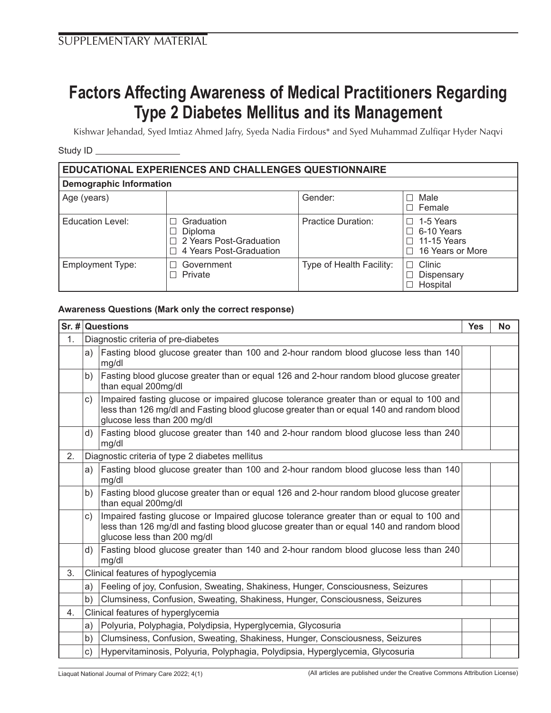## **Factors Affecting Awareness of Medical Practitioners Regarding Type 2 Diabetes Mellitus and its Management**

Kishwar Jehandad, Syed Imtiaz Ahmed Jafry, Syeda Nadia Firdous\* and Syed Muhammad Zulfiqar Hyder Naqvi

Study ID

| <b>EDUCATIONAL EXPERIENCES AND CHALLENGES QUESTIONNAIRE</b> |                                                                                    |                           |                                                                                    |  |  |  |  |  |
|-------------------------------------------------------------|------------------------------------------------------------------------------------|---------------------------|------------------------------------------------------------------------------------|--|--|--|--|--|
| <b>Demographic Information</b>                              |                                                                                    |                           |                                                                                    |  |  |  |  |  |
| Age (years)                                                 |                                                                                    | Gender:                   | Male<br>i L<br>$\Box$ Female                                                       |  |  |  |  |  |
| Education Level:                                            | Graduation<br><b>Diploma</b><br>2 Years Post-Graduation<br>4 Years Post-Graduation | <b>Practice Duration:</b> | 1-5 Years<br>$\Box$<br>$\Box$ 6-10 Years<br>$\Box$ 11-15 Years<br>16 Years or More |  |  |  |  |  |
| <b>Employment Type:</b>                                     | Government<br>Private                                                              | Type of Health Facility:  | Clinic<br>$\mathbf{L}$<br>Dispensary<br>Hospital                                   |  |  |  |  |  |

## **Awareness Questions (Mark only the correct response)**

|    |    | Sr. # Questions                                                                                                                                                                                                    |  | No |  |  |
|----|----|--------------------------------------------------------------------------------------------------------------------------------------------------------------------------------------------------------------------|--|----|--|--|
| 1. |    | Diagnostic criteria of pre-diabetes                                                                                                                                                                                |  |    |  |  |
|    | a) | Fasting blood glucose greater than 100 and 2-hour random blood glucose less than 140<br>mg/dl                                                                                                                      |  |    |  |  |
|    | b) | Fasting blood glucose greater than or equal 126 and 2-hour random blood glucose greater<br>than equal 200mg/dl                                                                                                     |  |    |  |  |
|    | c) | Impaired fasting glucose or impaired glucose tolerance greater than or equal to 100 and<br>less than 126 mg/dl and Fasting blood glucose greater than or equal 140 and random blood<br>glucose less than 200 mg/dl |  |    |  |  |
|    | d) | Fasting blood glucose greater than 140 and 2-hour random blood glucose less than 240<br>mg/dl                                                                                                                      |  |    |  |  |
| 2. |    | Diagnostic criteria of type 2 diabetes mellitus                                                                                                                                                                    |  |    |  |  |
|    | a) | Fasting blood glucose greater than 100 and 2-hour random blood glucose less than 140<br>mg/dl                                                                                                                      |  |    |  |  |
|    | b) | Fasting blood glucose greater than or equal 126 and 2-hour random blood glucose greater<br>than equal 200mg/dl                                                                                                     |  |    |  |  |
|    | c) | Impaired fasting glucose or Impaired glucose tolerance greater than or equal to 100 and<br>less than 126 mg/dl and fasting blood glucose greater than or equal 140 and random blood<br>glucose less than 200 mg/dl |  |    |  |  |
|    | d) | Fasting blood glucose greater than 140 and 2-hour random blood glucose less than 240<br>mg/dl                                                                                                                      |  |    |  |  |
| 3. |    | Clinical features of hypoglycemia                                                                                                                                                                                  |  |    |  |  |
|    | a) | Feeling of joy, Confusion, Sweating, Shakiness, Hunger, Consciousness, Seizures                                                                                                                                    |  |    |  |  |
|    | b) | Clumsiness, Confusion, Sweating, Shakiness, Hunger, Consciousness, Seizures                                                                                                                                        |  |    |  |  |
| 4. |    | Clinical features of hyperglycemia                                                                                                                                                                                 |  |    |  |  |
|    | a) | Polyuria, Polyphagia, Polydipsia, Hyperglycemia, Glycosuria                                                                                                                                                        |  |    |  |  |
|    | b) | Clumsiness, Confusion, Sweating, Shakiness, Hunger, Consciousness, Seizures                                                                                                                                        |  |    |  |  |
|    | c) | Hypervitaminosis, Polyuria, Polyphagia, Polydipsia, Hyperglycemia, Glycosuria                                                                                                                                      |  |    |  |  |